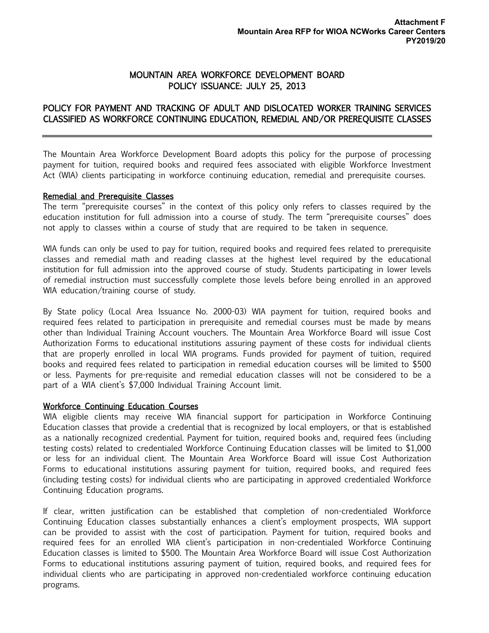## MOUNTAIN AREA WORKFORCE DEVELOPMENT BOARD POLICY ISSUANCE: JULY 25, 2013

## POLICY FOR PAYMENT AND TRACKING OF ADULT AND DISLOCATED WORKER TRAINING SERVICES CLASSIFIED AS WORKFORCE CONTINUING EDUCATION, REMEDIAL AND/OR PREREQUISITE CLASSES

The Mountain Area Workforce Development Board adopts this policy for the purpose of processing payment for tuition, required books and required fees associated with eligible Workforce Investment Act (WIA) clients participating in workforce continuing education, remedial and prerequisite courses.

## Remedial and Prerequisite Classes

The term "prerequisite courses" in the context of this policy only refers to classes required by the education institution for full admission into a course of study. The term "prerequisite courses" does not apply to classes within a course of study that are required to be taken in sequence.

WIA funds can only be used to pay for tuition, required books and required fees related to prerequisite classes and remedial math and reading classes at the highest level required by the educational institution for full admission into the approved course of study. Students participating in lower levels of remedial instruction must successfully complete those levels before being enrolled in an approved WIA education/training course of study.

By State policy (Local Area Issuance No. 2000-03) WIA payment for tuition, required books and required fees related to participation in prerequisite and remedial courses must be made by means other than Individual Training Account vouchers. The Mountain Area Workforce Board will issue Cost Authorization Forms to educational institutions assuring payment of these costs for individual clients that are properly enrolled in local WIA programs. Funds provided for payment of tuition, required books and required fees related to participation in remedial education courses will be limited to \$500 or less. Payments for pre-requisite and remedial education classes will not be considered to be a part of a WIA client's \$7,000 Individual Training Account limit.

## Workforce Continuing Education Courses

WIA eligible clients may receive WIA financial support for participation in Workforce Continuing Education classes that provide a credential that is recognized by local employers, or that is established as a nationally recognized credential. Payment for tuition, required books and, required fees (including testing costs) related to credentialed Workforce Continuing Education classes will be limited to \$1,000 or less for an individual client. The Mountain Area Workforce Board will issue Cost Authorization Forms to educational institutions assuring payment for tuition, required books, and required fees (including testing costs) for individual clients who are participating in approved credentialed Workforce Continuing Education programs.

If clear, written justification can be established that completion of non-credentialed Workforce Continuing Education classes substantially enhances a client's employment prospects, WIA support can be provided to assist with the cost of participation. Payment for tuition, required books and required fees for an enrolled WIA client's participation in non-credentialed Workforce Continuing Education classes is limited to \$500. The Mountain Area Workforce Board will issue Cost Authorization Forms to educational institutions assuring payment of tuition, required books, and required fees for individual clients who are participating in approved non-credentialed workforce continuing education programs.